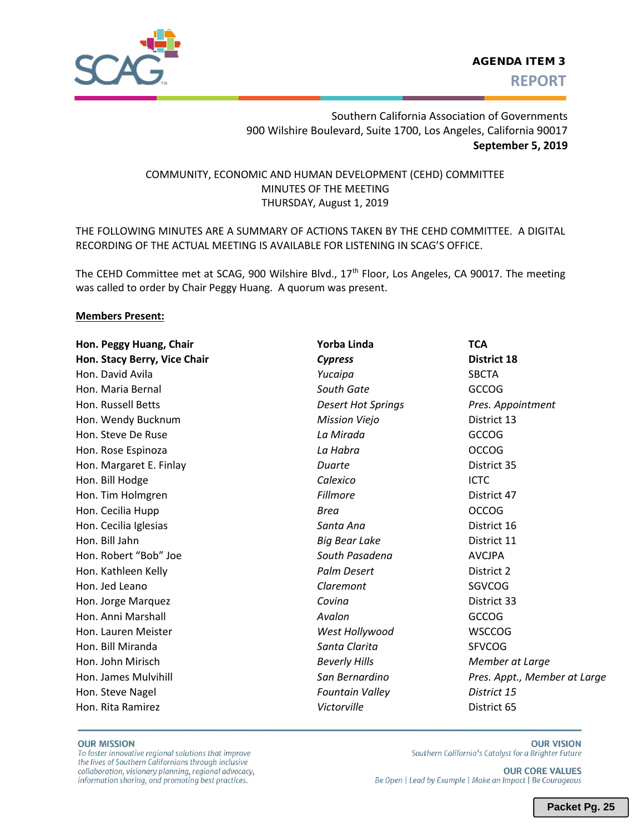

## Southern California Association of Governments 900 Wilshire Boulevard, Suite 1700, Los Angeles, California 90017 **September 5, 2019**

## COMMUNITY, ECONOMIC AND HUMAN DEVELOPMENT (CEHD) COMMITTEE MINUTES OF THE MEETING THURSDAY, August 1, 2019

THE FOLLOWING MINUTES ARE A SUMMARY OF ACTIONS TAKEN BY THE CEHD COMMITTEE. A DIGITAL RECORDING OF THE ACTUAL MEETING IS AVAILABLE FOR LISTENING IN SCAG'S OFFICE.

The CEHD Committee met at SCAG, 900 Wilshire Blvd., 17<sup>th</sup> Floor, Los Angeles, CA 90017. The meeting was called to order by Chair Peggy Huang. A quorum was present.

#### **Members Present:**

| Hon. Peggy Huang, Chair      | Yorba Linda               | <b>TCA</b>                   |  |  |  |  |  |
|------------------------------|---------------------------|------------------------------|--|--|--|--|--|
| Hon. Stacy Berry, Vice Chair | <b>Cypress</b>            | <b>District 18</b>           |  |  |  |  |  |
| Hon. David Avila             | Yucaipa                   | <b>SBCTA</b>                 |  |  |  |  |  |
| Hon. Maria Bernal            | South Gate                | <b>GCCOG</b>                 |  |  |  |  |  |
| Hon. Russell Betts           | <b>Desert Hot Springs</b> | Pres. Appointment            |  |  |  |  |  |
| Hon. Wendy Bucknum           | <b>Mission Viejo</b>      | District 13                  |  |  |  |  |  |
| Hon. Steve De Ruse           | La Mirada                 | <b>GCCOG</b>                 |  |  |  |  |  |
| Hon. Rose Espinoza           | La Habra                  | <b>OCCOG</b>                 |  |  |  |  |  |
| Hon. Margaret E. Finlay      | Duarte                    | District 35                  |  |  |  |  |  |
| Hon. Bill Hodge              | Calexico                  | <b>ICTC</b>                  |  |  |  |  |  |
| Hon. Tim Holmgren            | <b>Fillmore</b>           | District 47                  |  |  |  |  |  |
| Hon. Cecilia Hupp            | Brea                      | <b>OCCOG</b>                 |  |  |  |  |  |
| Hon. Cecilia Iglesias        | Santa Ana                 | District 16                  |  |  |  |  |  |
| Hon. Bill Jahn               | <b>Big Bear Lake</b>      | District 11                  |  |  |  |  |  |
| Hon. Robert "Bob" Joe        | South Pasadena            | <b>AVCJPA</b>                |  |  |  |  |  |
| Hon. Kathleen Kelly          | Palm Desert               | District 2                   |  |  |  |  |  |
| Hon. Jed Leano               | Claremont                 | SGVCOG                       |  |  |  |  |  |
| Hon. Jorge Marquez           | Covina                    | District 33                  |  |  |  |  |  |
| Hon. Anni Marshall           | Avalon                    | <b>GCCOG</b>                 |  |  |  |  |  |
| Hon. Lauren Meister          | West Hollywood            | <b>WSCCOG</b>                |  |  |  |  |  |
| Hon. Bill Miranda            | Santa Clarita             | <b>SFVCOG</b>                |  |  |  |  |  |
| Hon. John Mirisch            | <b>Beverly Hills</b>      | Member at Large              |  |  |  |  |  |
| Hon. James Mulvihill         | San Bernardino            | Pres. Appt., Member at Large |  |  |  |  |  |
| Hon. Steve Nagel             | <b>Fountain Valley</b>    | District 15                  |  |  |  |  |  |
| Hon. Rita Ramirez            | Victorville               | District 65                  |  |  |  |  |  |
|                              |                           |                              |  |  |  |  |  |

#### **OUR MISSION**

To foster innovative regional solutions that improve the lives of Southern Californians through inclusive collaboration, visionary planning, regional advocacy, information sharing, and promoting best practices.

**OUR VISION** Southern California's Catalyst for a Brighter Future

**OUR CORE VALUES** Be Open | Lead by Example | Make an Impact | Be Courageous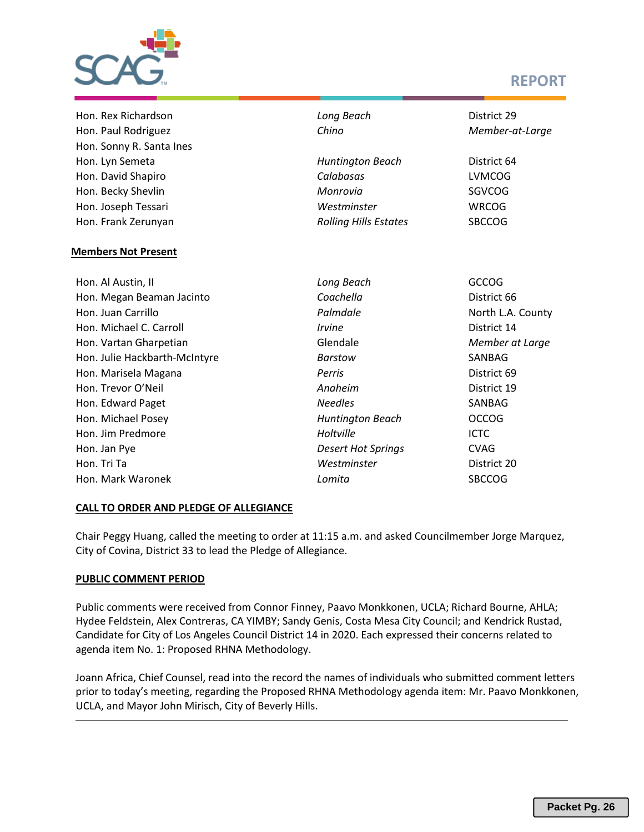

# **REPORT**

| Hon. Rex Richardson           | Long Beach                   | District 29       |  |  |  |  |  |
|-------------------------------|------------------------------|-------------------|--|--|--|--|--|
| Hon. Paul Rodriguez           | Chino                        | Member-at-Large   |  |  |  |  |  |
| Hon. Sonny R. Santa Ines      |                              |                   |  |  |  |  |  |
| Hon. Lyn Semeta               | <b>Huntington Beach</b>      | District 64       |  |  |  |  |  |
| Hon. David Shapiro            | Calabasas                    | <b>LVMCOG</b>     |  |  |  |  |  |
| Hon. Becky Shevlin            | Monrovia                     | <b>SGVCOG</b>     |  |  |  |  |  |
| Hon. Joseph Tessari           | Westminster                  | <b>WRCOG</b>      |  |  |  |  |  |
| Hon. Frank Zerunyan           | <b>Rolling Hills Estates</b> | <b>SBCCOG</b>     |  |  |  |  |  |
|                               |                              |                   |  |  |  |  |  |
| <b>Members Not Present</b>    |                              |                   |  |  |  |  |  |
| Hon. Al Austin, II            | Long Beach                   | <b>GCCOG</b>      |  |  |  |  |  |
| Hon. Megan Beaman Jacinto     | Coachella                    | District 66       |  |  |  |  |  |
| Hon. Juan Carrillo            | Palmdale                     | North L.A. County |  |  |  |  |  |
| Hon. Michael C. Carroll       | <b>Irvine</b>                | District 14       |  |  |  |  |  |
| Hon. Vartan Gharpetian        | Glendale                     | Member at Large   |  |  |  |  |  |
| Hon. Julie Hackbarth-McIntyre | <b>Barstow</b>               | SANBAG            |  |  |  |  |  |
| Hon. Marisela Magana          | Perris                       | District 69       |  |  |  |  |  |
| Hon. Trevor O'Neil            | Anaheim                      | District 19       |  |  |  |  |  |
| Hon. Edward Paget             | <b>Needles</b>               | SANBAG            |  |  |  |  |  |
| Hon. Michael Posey            | <b>Huntington Beach</b>      | <b>OCCOG</b>      |  |  |  |  |  |
| Hon. Jim Predmore             | Holtville                    | <b>ICTC</b>       |  |  |  |  |  |
| Hon. Jan Pye                  | <b>Desert Hot Springs</b>    | <b>CVAG</b>       |  |  |  |  |  |
| Hon. Tri Ta                   | Westminster                  | District 20       |  |  |  |  |  |
| Hon. Mark Waronek             | Lomita                       | <b>SBCCOG</b>     |  |  |  |  |  |
|                               |                              |                   |  |  |  |  |  |

## **CALL TO ORDER AND PLEDGE OF ALLEGIANCE**

Chair Peggy Huang, called the meeting to order at 11:15 a.m. and asked Councilmember Jorge Marquez, City of Covina, District 33 to lead the Pledge of Allegiance.

### **PUBLIC COMMENT PERIOD**

Public comments were received from Connor Finney, Paavo Monkkonen, UCLA; Richard Bourne, AHLA; Hydee Feldstein, Alex Contreras, CA YIMBY; Sandy Genis, Costa Mesa City Council; and Kendrick Rustad, Candidate for City of Los Angeles Council District 14 in 2020. Each expressed their concerns related to agenda item No. 1: Proposed RHNA Methodology.

Joann Africa, Chief Counsel, read into the record the names of individuals who submitted comment letters prior to today's meeting, regarding the Proposed RHNA Methodology agenda item: Mr. Paavo Monkkonen, UCLA, and Mayor John Mirisch, City of Beverly Hills.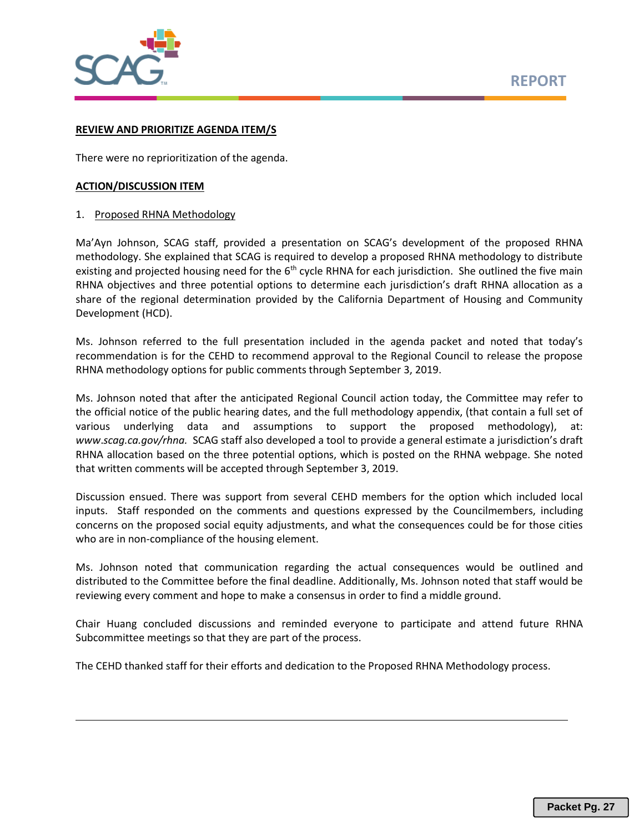

#### **REVIEW AND PRIORITIZE AGENDA ITEM/S**

There were no reprioritization of the agenda.

#### **ACTION/DISCUSSION ITEM**

#### 1. Proposed RHNA Methodology

Ma'Ayn Johnson, SCAG staff, provided a presentation on SCAG's development of the proposed RHNA methodology. She explained that SCAG is required to develop a proposed RHNA methodology to distribute existing and projected housing need for the 6<sup>th</sup> cycle RHNA for each jurisdiction. She outlined the five main RHNA objectives and three potential options to determine each jurisdiction's draft RHNA allocation as a share of the regional determination provided by the California Department of Housing and Community Development (HCD).

Ms. Johnson referred to the full presentation included in the agenda packet and noted that today's recommendation is for the CEHD to recommend approval to the Regional Council to release the propose RHNA methodology options for public comments through September 3, 2019.

Ms. Johnson noted that after the anticipated Regional Council action today, the Committee may refer to the official notice of the public hearing dates, and the full methodology appendix, (that contain a full set of various underlying data and assumptions to support the proposed methodology), at: *www*.*scag.ca.gov/rhna.* SCAG staff also developed a tool to provide a general estimate a jurisdiction's draft RHNA allocation based on the three potential options, which is posted on the RHNA webpage. She noted that written comments will be accepted through September 3, 2019.

Discussion ensued. There was support from several CEHD members for the option which included local inputs. Staff responded on the comments and questions expressed by the Councilmembers, including concerns on the proposed social equity adjustments, and what the consequences could be for those cities who are in non-compliance of the housing element.

Ms. Johnson noted that communication regarding the actual consequences would be outlined and distributed to the Committee before the final deadline. Additionally, Ms. Johnson noted that staff would be reviewing every comment and hope to make a consensus in order to find a middle ground.

Chair Huang concluded discussions and reminded everyone to participate and attend future RHNA Subcommittee meetings so that they are part of the process.

The CEHD thanked staff for their efforts and dedication to the Proposed RHNA Methodology process.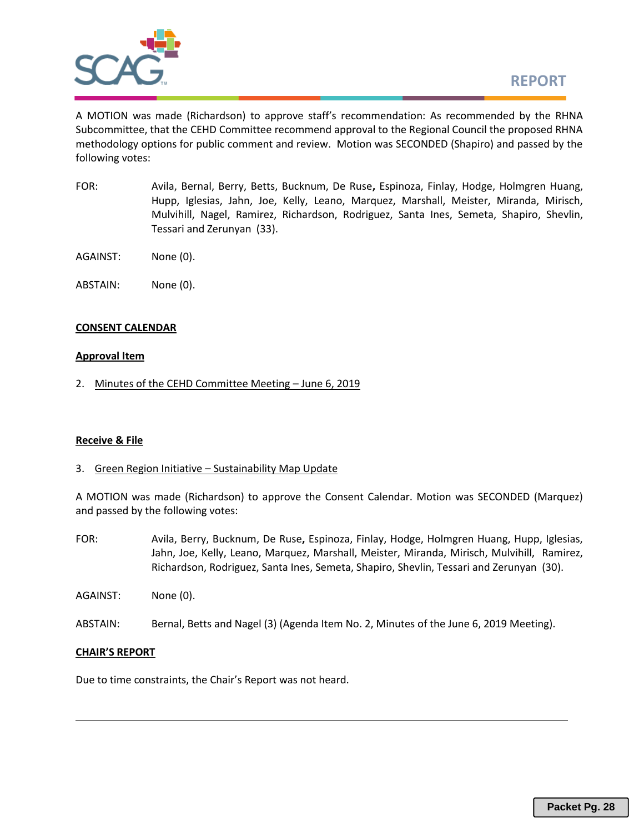

A MOTION was made (Richardson) to approve staff's recommendation: As recommended by the RHNA Subcommittee, that the CEHD Committee recommend approval to the Regional Council the proposed RHNA methodology options for public comment and review. Motion was SECONDED (Shapiro) and passed by the following votes:

- FOR: Avila, Bernal, Berry, Betts, Bucknum, De Ruse**,** Espinoza, Finlay, Hodge, Holmgren Huang, Hupp, Iglesias, Jahn, Joe, Kelly, Leano, Marquez, Marshall, Meister, Miranda, Mirisch, Mulvihill, Nagel, Ramirez, Richardson, Rodriguez, Santa Ines, Semeta, Shapiro, Shevlin, Tessari and Zerunyan (33).
- AGAINST: None (0).
- ABSTAIN: None (0).

### **CONSENT CALENDAR**

#### **Approval Item**

2. Minutes of the CEHD Committee Meeting – June 6, 2019

## **Receive & File**

3. Green Region Initiative – Sustainability Map Update

A MOTION was made (Richardson) to approve the Consent Calendar. Motion was SECONDED (Marquez) and passed by the following votes:

- FOR: Avila, Berry, Bucknum, De Ruse**,** Espinoza, Finlay, Hodge, Holmgren Huang, Hupp, Iglesias, Jahn, Joe, Kelly, Leano, Marquez, Marshall, Meister, Miranda, Mirisch, Mulvihill, Ramirez, Richardson, Rodriguez, Santa Ines, Semeta, Shapiro, Shevlin, Tessari and Zerunyan (30).
- AGAINST: None (0).
- ABSTAIN: Bernal, Betts and Nagel (3) (Agenda Item No. 2, Minutes of the June 6, 2019 Meeting).

#### **CHAIR'S REPORT**

Due to time constraints, the Chair's Report was not heard.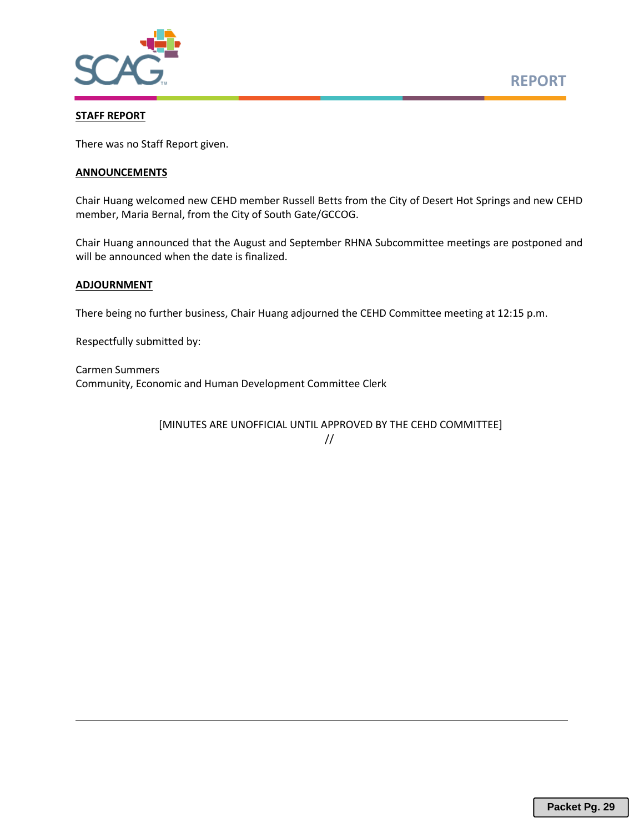

#### **STAFF REPORT**

There was no Staff Report given.

#### **ANNOUNCEMENTS**

Chair Huang welcomed new CEHD member Russell Betts from the City of Desert Hot Springs and new CEHD member, Maria Bernal, from the City of South Gate/GCCOG.

Chair Huang announced that the August and September RHNA Subcommittee meetings are postponed and will be announced when the date is finalized.

#### **ADJOURNMENT**

There being no further business, Chair Huang adjourned the CEHD Committee meeting at 12:15 p.m.

Respectfully submitted by:

Carmen Summers Community, Economic and Human Development Committee Clerk

[MINUTES ARE UNOFFICIAL UNTIL APPROVED BY THE CEHD COMMITTEE]

<sup>//</sup>